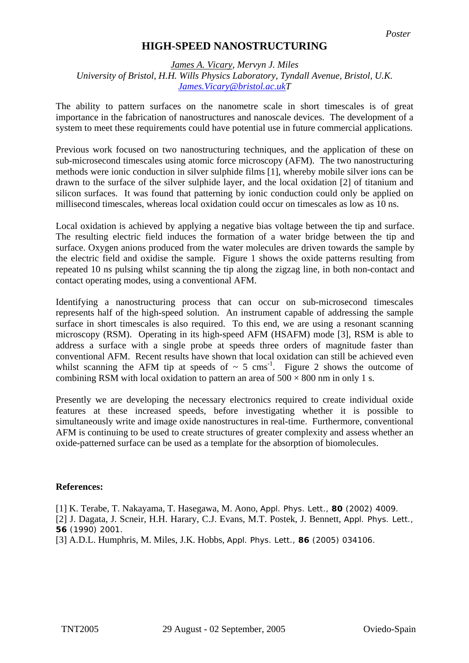## **HIGH-SPEED NANOSTRUCTURING**

## *James A. Vicary, Mervyn J. Miles University of Bristol, H.H. Wills Physics Laboratory, Tyndall Avenue, Bristol, U.K. [James.Vicary@bristol.ac.ukT](mailto:James.Vicary@bristol.ac.uk)*

The ability to pattern surfaces on the nanometre scale in short timescales is of great importance in the fabrication of nanostructures and nanoscale devices. The development of a system to meet these requirements could have potential use in future commercial applications.

Previous work focused on two nanostructuring techniques, and the application of these on sub-microsecond timescales using atomic force microscopy (AFM). The two nanostructuring methods were ionic conduction in silver sulphide films [1], whereby mobile silver ions can be drawn to the surface of the silver sulphide layer, and the local oxidation [2] of titanium and silicon surfaces. It was found that patterning by ionic conduction could only be applied on millisecond timescales, whereas local oxidation could occur on timescales as low as 10 ns.

Local oxidation is achieved by applying a negative bias voltage between the tip and surface. The resulting electric field induces the formation of a water bridge between the tip and surface. Oxygen anions produced from the water molecules are driven towards the sample by the electric field and oxidise the sample. Figure 1 shows the oxide patterns resulting from repeated 10 ns pulsing whilst scanning the tip along the zigzag line, in both non-contact and contact operating modes, using a conventional AFM.

Identifying a nanostructuring process that can occur on sub-microsecond timescales represents half of the high-speed solution. An instrument capable of addressing the sample surface in short timescales is also required. To this end, we are using a resonant scanning microscopy (RSM). Operating in its high-speed AFM (HSAFM) mode [3], RSM is able to address a surface with a single probe at speeds three orders of magnitude faster than conventional AFM. Recent results have shown that local oxidation can still be achieved even whilst scanning the AFM tip at speeds of  $\sim 5$  cms<sup>-1</sup>. Figure 2 shows the outcome of combining RSM with local oxidation to pattern an area of  $500 \times 800$  nm in only 1 s.

Presently we are developing the necessary electronics required to create individual oxide features at these increased speeds, before investigating whether it is possible to simultaneously write and image oxide nanostructures in real-time. Furthermore, conventional AFM is continuing to be used to create structures of greater complexity and assess whether an oxide-patterned surface can be used as a template for the absorption of biomolecules.

## **References:**

[1] K. Terabe, T. Nakayama, T. Hasegawa, M. Aono, Appl. Phys. Lett., **80** (2002) 4009.

[2] J. Dagata, J. Scneir, H.H. Harary, C.J. Evans, M.T. Postek, J. Bennett, Appl. Phys. Lett., **56** (1990) 2001.

[3] A.D.L. Humphris, M. Miles, J.K. Hobbs, Appl. Phys. Lett., **86** (2005) 034106.